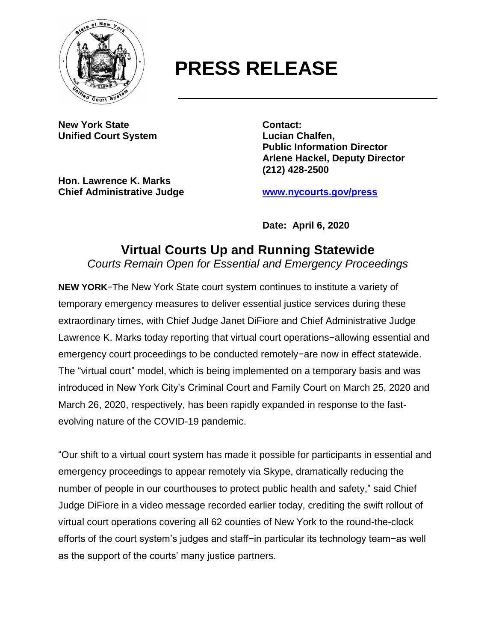

## **PRESS RELEASE**

**New York State Contact: Unified Court System Lucian Chalfen,**

**Hon. Lawrence K. Marks Chief Administrative Judge [www.nycourts.gov/press](http://www.nycourts.gov/press)**

**Public Information Director Arlene Hackel, Deputy Director (212) 428-2500**

**Date: April 6, 2020**

## **Virtual Courts Up and Running Statewide** *Courts Remain Open for Essential and Emergency Proceedings*

**NEW YORK**−The New York State court system continues to institute a variety of temporary emergency measures to deliver essential justice services during these extraordinary times, with Chief Judge Janet DiFiore and Chief Administrative Judge Lawrence K. Marks today reporting that virtual court operations−allowing essential and emergency court proceedings to be conducted remotely−are now in effect statewide. The "virtual court" model, which is being implemented on a temporary basis and was introduced in New York City's Criminal Court and Family Court on March 25, 2020 and March 26, 2020, respectively, has been rapidly expanded in response to the fastevolving nature of the COVID-19 pandemic.

"Our shift to a virtual court system has made it possible for participants in essential and emergency proceedings to appear remotely via Skype, dramatically reducing the number of people in our courthouses to protect public health and safety," said Chief Judge DiFiore in a video message recorded earlier today, crediting the swift rollout of virtual court operations covering all 62 counties of New York to the round-the-clock efforts of the court system's judges and staff−in particular its technology team−as well as the support of the courts' many justice partners.